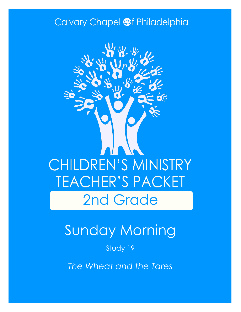## Calvary Chapel @f Philadelphia



# Sunday Morning

### Study 19

*The Wheat and the Tares*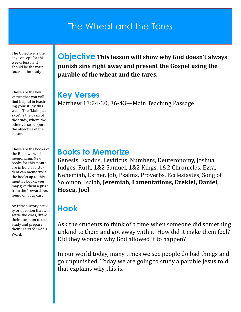### The Wheat and the Tares

The Objective is the key concept for this weeks lesson. It should be the main focus of the study

These are the key verses that you will find helpful in teaching your study this week. The "Main passage" is the basis of the study, where the other verse support the objective of the lesson.

These are the books of the Bible we will be memorizing. New books for this month are in bold. If a student can memorize all the books up to this month's books, you may give them a prize from the "reward box" found on your cart.

An introductory activity or question that will settle the class, draw their attention to the study and prepare their hearts for God's Word.

**Objective This lesson will show why God doesn't always punish sins right away and present the Gospel using the parable of the wheat and the tares.**

#### **Key Verses**

Matthew 13:24-30, 36-43—Main Teaching Passage

#### **Books to Memorize**

Genesis, Exodus, Leviticus, Numbers, Deuteronomy, Joshua, Judges, Ruth, 1&2 Samuel, 1&2 Kings, 1&2 Chronicles, Ezra, Nehemiah, Esther, Job, Psalms, Proverbs, Ecclesiastes, Song of Solomon, Isaiah, **Jeremiah, Lamentations, Ezekiel, Daniel, Hosea, Joel**

### **Hook**

Ask the students to think of a time when someone did something unkind to them and got away with it. How did it make them feel? Did they wonder why God allowed it to happen?

In our world today, many times we see people do bad things and go unpunished. Today we are going to study a parable Jesus told that explains why this is.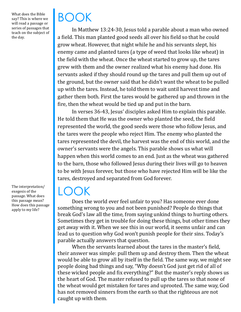What does the Bible say? This is where we will read a passage or series of passages that teach on the subject of the day.

The interpretation/ exegesis of the passage. What does this passage mean? How does this passage apply to my life?

# BOOK

In Matthew 13:24-30, Jesus told a parable about a man who owned a field. This man planted good seeds all over his field so that he could grow wheat. However, that night while he and his servants slept, his enemy came and planted tares (a type of weed that looks like wheat) in the field with the wheat. Once the wheat started to grow up, the tares grew with them and the owner realized what his enemy had done. His servants asked if they should round up the tares and pull them up out of the ground, but the owner said that he didn't want the wheat to be pulled up with the tares. Instead, he told them to wait until harvest time and gather them both. First the tares would be gathered up and thrown in the fire, then the wheat would be tied up and put in the barn.

In verses 36-43, Jesus' disciples asked Him to explain this parable. He told them that He was the owner who planted the seed, the field represented the world, the good seeds were those who follow Jesus, and the tares were the people who reject Him. The enemy who planted the tares represented the devil, the harvest was the end of this world, and the owner's servants were the angels. This parable shows us what will happen when this world comes to an end. Just as the wheat was gathered to the barn, those who followed Jesus during their lives will go to heaven to be with Jesus forever, but those who have rejected Him will be like the tares, destroyed and separated from God forever.

## $\mathsf{L}(\mathsf{C})$

Does the world ever feel unfair to you? Has someone ever done something wrong to you and not been punished? People do things that break God's law all the time, from saying unkind things to hurting others. Sometimes they get in trouble for doing these things, but other times they get away with it. When we see this in our world, it seems unfair and can lead us to question why God won't punish people for their sins. Today's parable actually answers that question.

When the servants learned about the tares in the master's field, their answer was simple: pull them up and destroy them. Then the wheat would be able to grow all by itself in the field. The same way, we might see people doing bad things and say, "Why doesn't God just get rid of all of these wicked people and fix everything?" But the master's reply shows us the heart of God. The master refused to pull up the tares so that none of the wheat would get mistaken for tares and uprooted. The same way, God has not removed sinners from the earth so that the righteous are not caught up with them.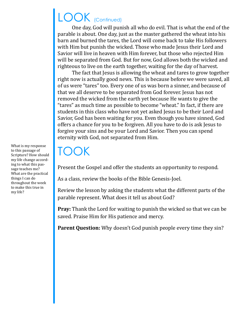# LOOK (Continued)

One day, God will punish all who do evil. That is what the end of the parable is about. One day, just as the master gathered the wheat into his barn and burned the tares, the Lord will come back to take His followers with Him but punish the wicked. Those who made Jesus their Lord and Savior will live in heaven with Him forever, but those who rejected Him will be separated from God. But for now, God allows both the wicked and righteous to live on the earth together, waiting for the day of harvest.

The fact that Jesus is allowing the wheat and tares to grow together right now is actually good news. This is because before we were saved, all of us were "tares" too. Every one of us was born a sinner, and because of that we all deserve to be separated from God forever. Jesus has not removed the wicked from the earth yet because He wants to give the "tares" as much time as possible to become "wheat." In fact, if there are students in this class who have not yet asked Jesus to be their Lord and Savior, God has been waiting for you. Even though you have sinned, God offers a chance for you to be forgiven. All you have to do is ask Jesus to forgive your sins and be your Lord and Savior. Then you can spend eternity with God, not separated from Him.

## TOOK

Present the Gospel and offer the students an opportunity to respond.

As a class, review the books of the Bible Genesis-Joel.

Review the lesson by asking the students what the different parts of the parable represent. What does it tell us about God?

**Pray:** Thank the Lord for waiting to punish the wicked so that we can be saved. Praise Him for His patience and mercy.

**Parent Question:** Why doesn't God punish people every time they sin?

What is my response to this passage of Scripture? How should my life change according to what this passage teaches me? What are the practical things I can do throughout the week to make this true in my life?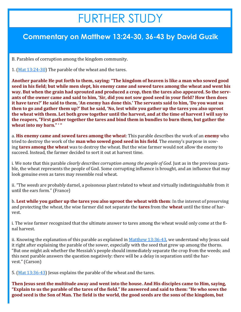# FURTHER STUDY

### **Commentary on Matthew 13:24-30, 36-43 by David Guzik**

B. Parables of corruption among the kingdom community.

1. [\(Mat 13:24](https://www.blueletterbible.org/kjv/matthew/13/24-30/s_942024)-30) The parable of the wheat and the tares.

**Another parable He put forth to them, saying: "The kingdom of heaven is like a man who sowed good seed in his field; but while men slept, his enemy came and sowed tares among the wheat and went his way. But when the grain had sprouted and produced a crop, then the tares also appeared. So the servants of the owner came and said to him, 'Sir, did you not sow good seed in your field? How then does it have tares?' He said to them, 'An enemy has done this.' The servants said to him, 'Do you want us then to go and gather them up?' But he said, 'No, lest while you gather up the tares you also uproot the wheat with them. Let both grow together until the harvest, and at the time of harvest I will say to the reapers, "First gather together the tares and bind them in bundles to burn them, but gather the wheat into my barn." ' "**

a. **His enemy came and sowed tares among the wheat**: This parable describes the work of an **enemy** who tried to destroy the work of the **man who sowed good seed in his field**. The enemy's purpose in sowing **tares among the wheat** was to destroy the wheat. But the wise farmer would not allow the enemy to succeed. Instead, the farmer decided to sort it out at harvest time.

i. We note that this parable *clearly describes corruption among the people of God*. Just as in the previous parable, the wheat represents the people of God. Some corrupting influence is brought, and an influence that may look genuine even as tares may resemble real wheat.

ii. "The *weeds* are probably darnel, a poisonous plant related to wheat and virtually indistinguishable from it until the ears form." (France)

b. **Lest while you gather up the tares you also uproot the wheat with them**: In the interest of preserving and protecting the wheat, the wise farmer did not separate the **tares** from the **wheat** until the time of harvest.

i. The wise farmer recognized that the ultimate answer to tares among the wheat would only come at the final harvest.

ii. Knowing the explanation of this parable as explained in [Matthew 13:36](https://www.blueletterbible.org/kjv/matthew/13/36-43/s_942036)-43, we understand why Jesus said it right after explaining the parable of the sower, especially with the seed that grew up among the thorns. "But one might ask whether the Messiah's people should immediately separate the crop from the weeds; and this next parable answers the question negatively: there will be a delay in separation until the harvest." (Carson)

5. [\(Mat 13:36](https://www.blueletterbible.org/kjv/matthew/13/36-43/s_942036)-43) Jesus explains the parable of the wheat and the tares.

**Then Jesus sent the multitude away and went into the house. And His disciples came to Him, saying, "Explain to us the parable of the tares of the field." He answered and said to them: "He who sows the good seed is the Son of Man. The field is the world, the good seeds are the sons of the kingdom, but**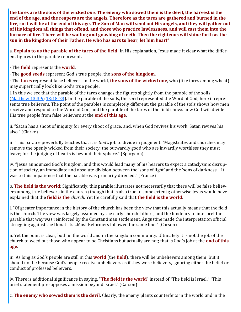**the tares are the sons of the wicked** *one.* **The enemy who sowed them is the devil, the harvest is the end of the age, and the reapers are the angels. Therefore as the tares are gathered and burned in the fire, so it will be at the end of this age. The Son of Man will send out His angels, and they will gather out of His kingdom all things that offend, and those who practice lawlessness, and will cast them into the furnace of fire. There will be wailing and gnashing of teeth. Then the righteous will shine forth as the sun in the kingdom of their Father. He who has ears to hear, let him hear!"**

a. **Explain to us the parable of the tares of the field**: In His explanation, Jesus made it clear what the different figures in the parable represent.

· The **field** represents the **world**.

· The **good seeds** represent God's true people, the **sons of the kingdom**.

· The **tares** represent false believers in the world, **the sons of the wicked one**, who (like tares among wheat) may superficially look like God's true people.

i. In this we see that the parable of the tares changes the figures slightly from the parable of the soils  $M$   $M$   $M$   $13:3-9$ ;  $13:18-23$  $13:18-23$ ). In the parable of the soils, the seed represented the Word of God; here it represents true believers. The point of the parables is completely different; the parable of the soils shows how men receive and respond to the Word of God, and the parable of the tares of the field shows how God will divide His true people from false believers at the **end of this age**.

ii. "Satan has a shoot of iniquity for every shoot of grace; and, when God revives his work, Satan revives his also." (Clarke)

iii. This parable powerfully teaches that it is *God's* job to divide in judgment. "Magistrates and churches may remove the openly wicked from their society; the outwardly good who are inwardly worthless they must leave; for the judging of hearts is beyond their sphere." (Spurgeon)

iv. "Jesus announced God's kingdom, and this would lead many of his hearers to expect a cataclysmic disruption of society, an immediate and absolute division between the 'sons of light' and the 'sons of darkness'…It was to this impatience that the parable was primarily directed." (France)

b. **The field is the world**: Significantly, this parable illustrates not necessarily that there will be false believers among true believers in the church (though that is also true to some extent); otherwise Jesus would have explained that the **field is the** *church*. Yet He carefully said that **the field is the world**.

i. "Of greater importance in the history of the church has been the view that this actually means that the field is the church. The view was largely assumed by the early church fathers, and the tendency to interpret the parable that way was reinforced by the Constantinian settlement. Augustine made the interpretation official struggling against the Donatists…Most Reformers followed the same line." (Carson)

ii. Yet the point is clear, both in the world and in the kingdom community. Ultimately it is not the job of the church to weed out those who appear to be Christians but actually are not; that is God's job at the **end of this age**.

iii. As long as God's people are still in this **world** (the **field**), there will be unbelievers among them; but it should not be because God's people receive unbelievers as if they were believers, ignoring either the belief or conduct of professed believers.

iv. There is additional significance in saying, "**The field is the world**" instead of "The field is Israel." "This brief statement presupposes a mission beyond Israel." (Carson)

c. **The enemy who sowed them is the devil**: Clearly, the enemy plants counterfeits in the world and in the